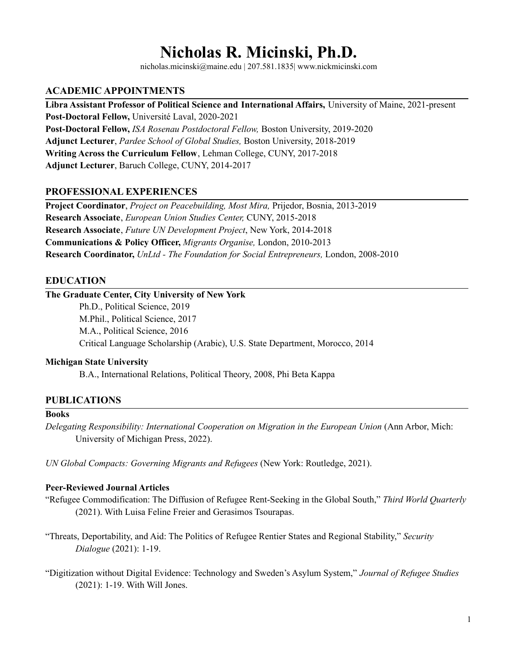# **Nicholas R. Micinski, Ph.D.**

nicholas.micinski@maine.edu | 207.581.1835| www.nickmicinski.com

# **ACADEMIC APPOINTMENTS**

**Libra Assistant Professor of Political Science and International Affairs,** University of Maine, 2021-present **Post-Doctoral Fellow,** Université Laval, 2020-2021 **Post-Doctoral Fellow,** *ISA Rosenau Postdoctoral Fellow,* Boston University, 2019-2020 **Adjunct Lecturer**, *Pardee School of Global Studies,* Boston University, 2018-2019 **Writing Across the Curriculum Fellow**, Lehman College, CUNY, 2017-2018 **Adjunct Lecturer**, Baruch College, CUNY, 2014-2017

## **PROFESSIONAL EXPERIENCES**

**Project Coordinator**, *Project on Peacebuilding, Most Mira,* Prijedor, Bosnia, 2013-2019 **Research Associate**, *European Union Studies Center,* CUNY, 2015-2018 **Research Associate**, *Future UN Development Project*, New York, 2014-2018 **Communications & Policy Officer,** *Migrants Organise,* London, 2010-2013 **Research Coordinator,** *UnLtd - The Foundation for Social Entrepreneurs,* London, 2008-2010

# **EDUCATION**

## **The Graduate Center, City University of New York**

Ph.D., Political Science, 2019 M.Phil., Political Science, 2017 M.A., Political Science, 2016 Critical Language Scholarship (Arabic), U.S. State Department, Morocco, 2014

## **Michigan State University**

B.A., International Relations, Political Theory, 2008, Phi Beta Kappa

# **PUBLICATIONS**

### **Books**

*Delegating Responsibility: International Cooperation on Migration in the European Union* (Ann Arbor, Mich: University of Michigan Press, 2022).

*UN Global Compacts: Governing Migrants and Refugees* (New York: Routledge, 2021).

#### **Peer-Reviewed Journal Articles**

"Refugee Commodification: The Diffusion of Refugee Rent-Seeking in the Global South," *Third World Quarterly* (2021). With Luisa Feline Freier and Gerasimos Tsourapas.

"Threats, Deportability, and Aid: The Politics of Refugee Rentier States and Regional Stability," *Security Dialogue* (2021): 1-19.

"Digitization without Digital Evidence: Technology and Sweden's Asylum System," *Journal of Refugee Studies* (2021): 1-19. With Will Jones.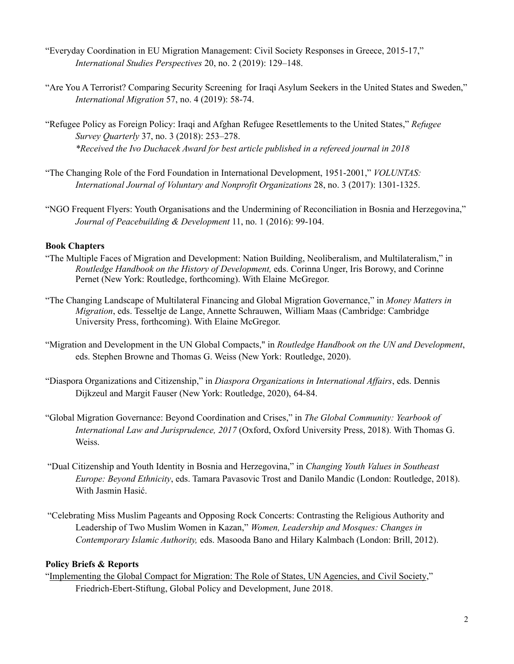- "Everyday Coordination in EU Migration Management: Civil Society Responses in Greece, 2015-17," *International Studies Perspectives* 20, no. 2 (2019): 129–148.
- "Are You A Terrorist? Comparing Security Screening for Iraqi Asylum Seekers in the United States and Sweden," *International Migration* 57, no. 4 (2019): 58-74.
- "Refugee Policy as Foreign Policy: Iraqi and Afghan Refugee Resettlements to the United States," *Refugee Survey Quarterly* 37, no. 3 (2018): 253–278. *\*Received the Ivo Duchacek Award for best article published in a refereed journal in 2018*
- "The Changing Role of the Ford Foundation in International Development, 1951-2001," *VOLUNTAS: International Journal of Voluntary and Nonprofit Organizations* 28, no. 3 (2017): 1301-1325.
- "NGO Frequent Flyers: Youth Organisations and the Undermining of Reconciliation in Bosnia and Herzegovina," *Journal of Peacebuilding & Development* 11, no. 1 (2016): 99-104.

#### **Book Chapters**

- "The Multiple Faces of Migration and Development: Nation Building, Neoliberalism, and Multilateralism," in *Routledge Handbook on the History of Development,* eds. Corinna Unger, Iris Borowy, and Corinne Pernet (New York: Routledge, forthcoming). With Elaine McGregor.
- "The Changing Landscape of Multilateral Financing and Global Migration Governance," in *Money Matters in Migration*, eds. Tesseltje de Lange, Annette Schrauwen, William Maas (Cambridge: Cambridge University Press, forthcoming). With Elaine McGregor.
- "Migration and Development in the UN Global Compacts," in *Routledge Handbook on the UN and Development*, eds. Stephen Browne and Thomas G. Weiss (New York: Routledge, 2020).
- "Diaspora Organizations and Citizenship," in *Diaspora Organizations in International Af airs*, eds. Dennis Dijkzeul and Margit Fauser (New York: Routledge, 2020), 64-84.
- "Global Migration Governance: Beyond Coordination and Crises," in *The Global Community: Yearbook of International Law and Jurisprudence, 2017* (Oxford, Oxford University Press, 2018). With Thomas G. Weiss.
- "Dual Citizenship and Youth Identity in Bosnia and Herzegovina," in *Changing Youth Values in Southeast Europe: Beyond Ethnicity*, eds. Tamara Pavasovic Trost and Danilo Mandic (London: Routledge, 2018). With Jasmin Hasić.
- "Celebrating Miss Muslim Pageants and Opposing Rock Concerts: Contrasting the Religious Authority and Leadership of Two Muslim Women in Kazan," *Women, Leadership and Mosques: Changes in Contemporary Islamic Authority,* eds. Masooda Bano and Hilary Kalmbach (London: Brill, 2012).

## **Policy Briefs & Reports**

["Implementing](http://bit.ly/2N7G8J5) the Global Compact for Migration: The Role of States, UN Agencies, and Civil [Society](http://bit.ly/2N7G8J5)," Friedrich-Ebert-Stiftung, Global Policy and Development, June 2018.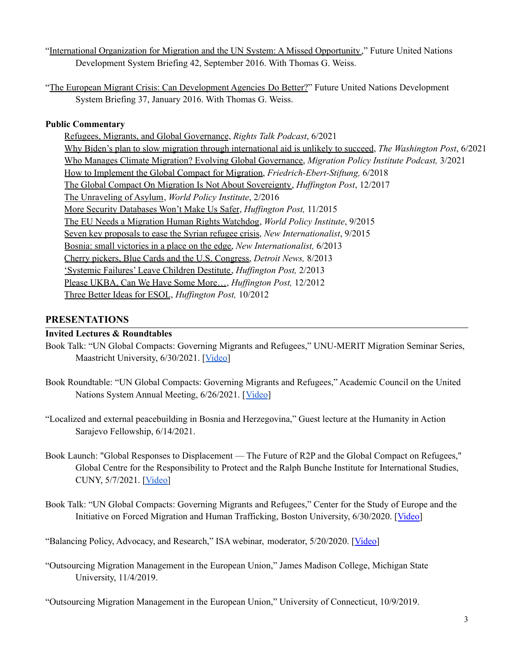["International](https://www.futureun.org/media/archive1/briefings/FUNDS_Brief42_IOM_UN_Migraton_Sept2016.pdf) Organization for Migration and the UN System: A Missed Opportunity," Future United Nations Development System Briefing 42, September 2016. With Thomas G. Weiss.

"The European Migrant Crisis: Can [Development](https://www.futureun.org/media/archive1/briefings/FUNDS_Brief37_European_Migrant_Crisis_Jan2016.pdf) Agencies Do Better?" Future United Nations Development System Briefing 37, January 2016. With Thomas G. Weiss.

# **Public Commentary**

Refugees, Migrants, and Global [Governance](https://rightstalkccnydowntown.buzzsprout.com/1163141/8635671-e20-refugees-migrants-and-global-governance-with-umaine-prof-nicholas-r-micinski), *Rights Talk Podcast*, 6/2021 Why Biden's plan to slow migration through [international](https://wapo.st/3pgD40P) aid is unlikely to succeed, *The Washington Post*, 6/2021 Who Manages Climate Migration? Evolving Global [Governance,](https://mpichangingclimatechangingmigration.podbean.com/e/who-manages-climate-migration-evolving-global-governance/) *Migration Policy Institute Podcast,* 3/2021 How to [Implement](http://bit.ly/2My2vGB) the Global Compact for Migration, *Friedrich-Ebert-Stiftung,* 6/2018 The Global Compact On Migration Is Not About [Sovereignty,](http://bit.ly/2zXSM6q) *Huf ington Post*, 12/2017 The [Unraveling](http://bit.ly/1mgBkCd) of Asylum, *World Policy Institute*, 2/2016 More Security [Databases](http://huff.to/1N7WrNr) Won't Make Us Safer, *Huffington Post*, 11/2015 The EU Needs a Migration Human Rights [Watchdog](http://bit.ly/1MeO8l3), *World Policy Institute*, 9/2015 Seven key [proposals](http://bit.ly/1geucTP) to ease the Syrian refugee crisis, *New Internationalist*, 9/2015 Bosnia: small [victories](http://bit.ly/1NUfsmm) in a place on the edge, *New Internationalist,* 6/2013 Cherry pickers, Blue Cards and the U.S. [Congress,](http://bit.ly/1nMfuHS) *Detroit News,* 8/2013 ['Systemic](http://huff.to/1Pon2rr) Failures' Leave Children Destitute, *Huffington Post,* 2/2013 Please UKBA, Can We Have Some More..., *Huffington Post*, 12/2012 Three Better Ideas for [ESOL](http://huff.to/RBp8a9), *Huffington Post*, 10/2012

# **PRESENTATIONS**

## **Invited Lectures & Roundtables**

- Book Talk: "UN Global Compacts: Governing Migrants and Refugees," UNU-MERIT Migration Seminar Series, Maastricht University, 6/30/2021. [[Video\]](https://youtu.be/zmNR9bragAA)
- Book Roundtable: "UN Global Compacts: Governing Migrants and Refugees," Academic Council on the United Nations System Annual Meeting, 6/26/2021. [[Video](https://youtu.be/kSr_cKtLgd0)]
- "Localized and external peacebuilding in Bosnia and Herzegovina," Guest lecture at the Humanity in Action Sarajevo Fellowship, 6/14/2021.
- Book Launch: "Global Responses to Displacement The Future of R2P and the Global Compact on Refugees," Global Centre for the Responsibility to Protect and the Ralph Bunche Institute for International Studies, CUNY, 5/7/2021. [\[Video\]](https://youtu.be/H9RgQJaiTcM)
- Book Talk: "UN Global Compacts: Governing Migrants and Refugees," Center for the Study of Europe and the Initiative on Forced Migration and Human Trafficking, Boston University, 6/30/2020. [[Video\]](https://youtu.be/ctmSPXEh1QU)

"Balancing Policy, Advocacy, and Research," ISA webinar, moderator, 5/20/2020. [[Video\]](https://www.isanet.org/Professional-Resources/Articles/ID/6092/Balancing-Policy-Advocacy-and-Research)

"Outsourcing Migration Management in the European Union," James Madison College, Michigan State University, 11/4/2019.

"Outsourcing Migration Management in the European Union," University of Connecticut, 10/9/2019.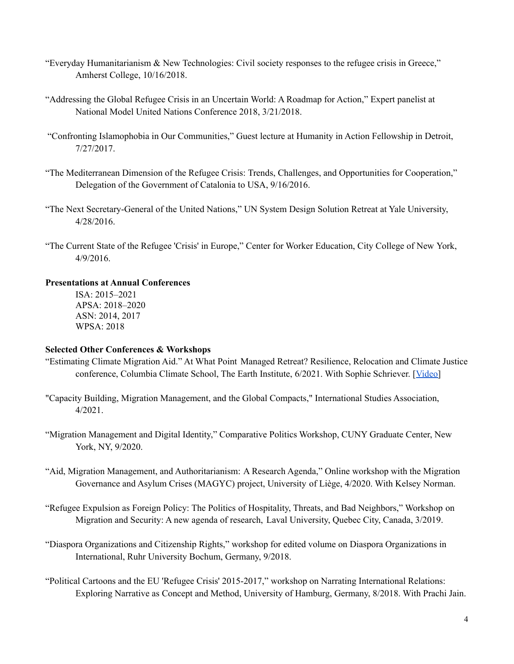- "Everyday Humanitarianism & New Technologies: Civil society responses to the refugee crisis in Greece," Amherst College, 10/16/2018.
- "Addressing the Global Refugee Crisis in an Uncertain World: A Roadmap for Action," Expert panelist at National Model United Nations Conference 2018, 3/21/2018.
- "Confronting Islamophobia in Our Communities," Guest lecture at Humanity in Action Fellowship in Detroit, 7/27/2017.
- "The Mediterranean Dimension of the Refugee Crisis: Trends, Challenges, and Opportunities for Cooperation," Delegation of the Government of Catalonia to USA, 9/16/2016.
- "The Next Secretary-General of the United Nations," UN System Design Solution Retreat at Yale University, 4/28/2016.
- "The Current State of the Refugee 'Crisis' in Europe," Center for Worker Education, City College of New York, 4/9/2016.

#### **Presentations at Annual Conferences**

ISA: 2015–2021 APSA: 2018–2020 ASN: 2014, 2017 WPSA: 2018

#### **Selected Other Conferences & Workshops**

- "Estimating Climate Migration Aid." At What Point Managed Retreat? Resilience, Relocation and Climate Justice conference, Columbia Climate School, The Earth Institute, 6/2021. With Sophie Schriever. [[Video\]](https://youtu.be/PL4ZwP_j-Qw)
- "Capacity Building, Migration Management, and the Global Compacts," International Studies Association, 4/2021.
- "Migration Management and Digital Identity," Comparative Politics Workshop, CUNY Graduate Center, New York, NY, 9/2020.
- "Aid, Migration Management, and Authoritarianism: A Research Agenda," Online workshop with the Migration Governance and Asylum Crises (MAGYC) project, University of Liège, 4/2020. With Kelsey Norman.
- "Refugee Expulsion as Foreign Policy: The Politics of Hospitality, Threats, and Bad Neighbors," Workshop on Migration and Security: A new agenda of research, Laval University, Quebec City, Canada, 3/2019.
- "Diaspora Organizations and Citizenship Rights," workshop for edited volume on Diaspora Organizations in International, Ruhr University Bochum, Germany, 9/2018.
- "Political Cartoons and the EU 'Refugee Crisis' 2015-2017," workshop on Narrating International Relations: Exploring Narrative as Concept and Method, University of Hamburg, Germany, 8/2018. With Prachi Jain.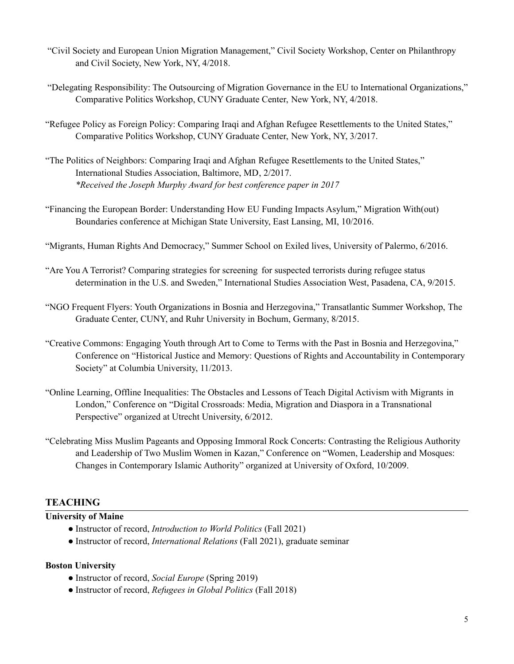- "Civil Society and European Union Migration Management," Civil Society Workshop, Center on Philanthropy and Civil Society, New York, NY, 4/2018.
- "Delegating Responsibility: The Outsourcing of Migration Governance in the EU to International Organizations," Comparative Politics Workshop, CUNY Graduate Center, New York, NY, 4/2018.
- "Refugee Policy as Foreign Policy: Comparing Iraqi and Afghan Refugee Resettlements to the United States," Comparative Politics Workshop, CUNY Graduate Center, New York, NY, 3/2017.
- "The Politics of Neighbors: Comparing Iraqi and Afghan Refugee Resettlements to the United States," International Studies Association, Baltimore, MD, 2/2017. *\*Received the Joseph Murphy Award for best conference paper in 2017*
- "Financing the European Border: Understanding How EU Funding Impacts Asylum," Migration With(out) Boundaries conference at Michigan State University, East Lansing, MI, 10/2016.
- "Migrants, Human Rights And Democracy," Summer School on Exiled lives, University of Palermo, 6/2016.
- "Are You A Terrorist? Comparing strategies for screening for suspected terrorists during refugee status determination in the U.S. and Sweden," International Studies Association West, Pasadena, CA, 9/2015.
- "NGO Frequent Flyers: Youth Organizations in Bosnia and Herzegovina," Transatlantic Summer Workshop, The Graduate Center, CUNY, and Ruhr University in Bochum, Germany, 8/2015.
- "Creative Commons: Engaging Youth through Art to Come to Terms with the Past in Bosnia and Herzegovina," Conference on "Historical Justice and Memory: Questions of Rights and Accountability in Contemporary Society" at Columbia University, 11/2013.
- "Online Learning, Offline Inequalities: The Obstacles and Lessons of Teach Digital Activism with Migrants in London," Conference on "Digital Crossroads: Media, Migration and Diaspora in a Transnational Perspective" organized at Utrecht University, 6/2012.
- "Celebrating Miss Muslim Pageants and Opposing Immoral Rock Concerts: Contrasting the Religious Authority and Leadership of Two Muslim Women in Kazan," Conference on "Women, Leadership and Mosques: Changes in Contemporary Islamic Authority" organized at University of Oxford, 10/2009.

## **TEACHING**

#### **University of Maine**

- Instructor of record, *Introduction to World Politics* (Fall 2021)
- Instructor of record, *International Relations* (Fall 2021), graduate seminar

#### **Boston University**

- Instructor of record, *Social Europe* (Spring 2019)
- Instructor of record, *Refugees in Global Politics* (Fall 2018)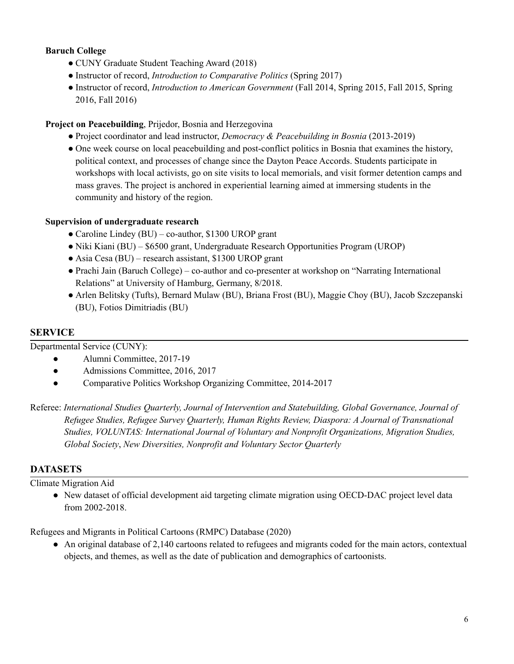# **Baruch College**

- CUNY Graduate Student Teaching Award (2018)
- Instructor of record, *Introduction to Comparative Politics* (Spring 2017)
- Instructor of record, *Introduction to American Government* (Fall 2014, Spring 2015, Fall 2015, Spring 2016, Fall 2016)

## **Project on Peacebuilding**, Prijedor, Bosnia and Herzegovina

- Project coordinator and lead instructor, *Democracy & Peacebuilding in Bosnia* (2013-2019)
- One week course on local peacebuilding and post-conflict politics in Bosnia that examines the history, political context, and processes of change since the Dayton Peace Accords. Students participate in workshops with local activists, go on site visits to local memorials, and visit former detention camps and mass graves. The project is anchored in experiential learning aimed at immersing students in the community and history of the region.

## **Supervision of undergraduate research**

- Caroline Lindey (BU) co-author, \$1300 UROP grant
- Niki Kiani (BU) \$6500 grant, Undergraduate Research Opportunities Program (UROP)
- Asia Cesa (BU) research assistant, \$1300 UROP grant
- Prachi Jain (Baruch College) co-author and co-presenter at workshop on "Narrating International Relations" at University of Hamburg, Germany, 8/2018.
- Arlen Belitsky (Tufts), Bernard Mulaw (BU), Briana Frost (BU), Maggie Choy (BU), Jacob Szczepanski (BU), Fotios Dimitriadis (BU)

## **SERVICE**

Departmental Service (CUNY):

- Alumni Committee, 2017-19
- Admissions Committee, 2016, 2017
- Comparative Politics Workshop Organizing Committee, 2014-2017

Referee: *International Studies Quarterly, Journal of Intervention and Statebuilding, Global Governance, Journal of Refugee Studies, Refugee Survey Quarterly, Human Rights Review, Diaspora: A Journal of Transnational Studies, VOLUNTAS: International Journal of Voluntary and Nonprofit Organizations, Migration Studies, Global Society*, *New Diversities, Nonprofit and Voluntary Sector Quarterly*

# **DATASETS**

Climate Migration Aid

● New dataset of official development aid targeting climate migration using OECD-DAC project level data from 2002-2018.

Refugees and Migrants in Political Cartoons (RMPC) Database (2020)

● An original database of 2,140 cartoons related to refugees and migrants coded for the main actors, contextual objects, and themes, as well as the date of publication and demographics of cartoonists.